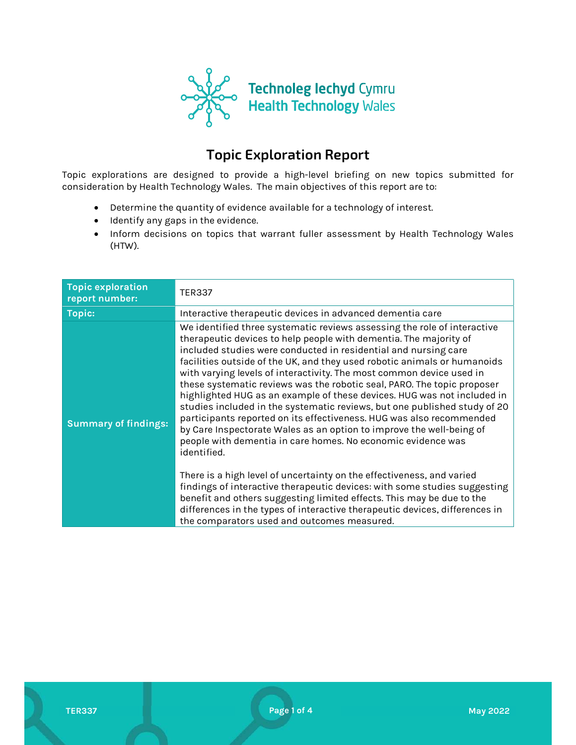

# Topic Exploration Report

Topic explorations are designed to provide a high-level briefing on new topics submitted for consideration by Health Technology Wales. The main objectives of this report are to:

- Determine the quantity of evidence available for a technology of interest.
- Identify any gaps in the evidence.
- Inform decisions on topics that warrant fuller assessment by Health Technology Wales (HTW).

| <b>Topic exploration</b><br>report number: | <b>TER337</b>                                                                                                                                                                                                                                                                                                                                                                                                                                                                                                                                                                                                                                                                                                                                                                                                                          |
|--------------------------------------------|----------------------------------------------------------------------------------------------------------------------------------------------------------------------------------------------------------------------------------------------------------------------------------------------------------------------------------------------------------------------------------------------------------------------------------------------------------------------------------------------------------------------------------------------------------------------------------------------------------------------------------------------------------------------------------------------------------------------------------------------------------------------------------------------------------------------------------------|
| <b>Topic:</b>                              | Interactive therapeutic devices in advanced dementia care                                                                                                                                                                                                                                                                                                                                                                                                                                                                                                                                                                                                                                                                                                                                                                              |
| <b>Summary of findings:</b>                | We identified three systematic reviews assessing the role of interactive<br>therapeutic devices to help people with dementia. The majority of<br>included studies were conducted in residential and nursing care<br>facilities outside of the UK, and they used robotic animals or humanoids<br>with varying levels of interactivity. The most common device used in<br>these systematic reviews was the robotic seal, PARO. The topic proposer<br>highlighted HUG as an example of these devices. HUG was not included in<br>studies included in the systematic reviews, but one published study of 20<br>participants reported on its effectiveness. HUG was also recommended<br>by Care Inspectorate Wales as an option to improve the well-being of<br>people with dementia in care homes. No economic evidence was<br>identified. |
|                                            | There is a high level of uncertainty on the effectiveness, and varied<br>findings of interactive therapeutic devices: with some studies suggesting<br>benefit and others suggesting limited effects. This may be due to the<br>differences in the types of interactive therapeutic devices, differences in<br>the comparators used and outcomes measured.                                                                                                                                                                                                                                                                                                                                                                                                                                                                              |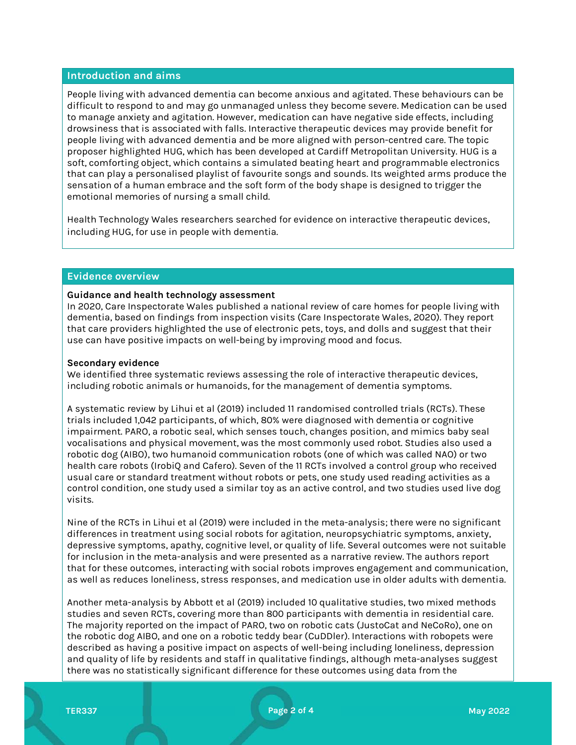#### Introduction and aims

People living with advanced dementia can become anxious and agitated. These behaviours can be difficult to respond to and may go unmanaged unless they become severe. Medication can be used to manage anxiety and agitation. However, medication can have negative side effects, including drowsiness that is associated with falls. Interactive therapeutic devices may provide benefit for people living with advanced dementia and be more aligned with person-centred care. The topic proposer highlighted HUG, which has been developed at Cardiff Metropolitan University. HUG is a soft, comforting object, which contains a simulated beating heart and programmable electronics that can play a personalised playlist of favourite songs and sounds. Its weighted arms produce the sensation of a human embrace and the soft form of the body shape is designed to trigger the emotional memories of nursing a small child.

Health Technology Wales researchers searched for evidence on interactive therapeutic devices, including HUG, for use in people with dementia.

#### Evidence overview

#### Guidance and health technology assessment

In 2020, Care Inspectorate Wales published a national review of care homes for people living with dementia, based on findings from inspection visits (Care Inspectorate Wales, 2020). They report that care providers highlighted the use of electronic pets, toys, and dolls and suggest that their use can have positive impacts on well-being by improving mood and focus.

#### Secondary evidence

We identified three systematic reviews assessing the role of interactive therapeutic devices, including robotic animals or humanoids, for the management of dementia symptoms.

A systematic review by Lihui et al (2019) included 11 randomised controlled trials (RCTs). These trials included 1,042 participants, of which, 80% were diagnosed with dementia or cognitive impairment. PARO, a robotic seal, which senses touch, changes position, and mimics baby seal vocalisations and physical movement, was the most commonly used robot. Studies also used a robotic dog (AIBO), two humanoid communication robots (one of which was called NAO) or two health care robots (IrobiQ and Cafero). Seven of the 11 RCTs involved a control group who received usual care or standard treatment without robots or pets, one study used reading activities as a control condition, one study used a similar toy as an active control, and two studies used live dog visits.

Nine of the RCTs in Lihui et al (2019) were included in the meta-analysis; there were no significant differences in treatment using social robots for agitation, neuropsychiatric symptoms, anxiety, depressive symptoms, apathy, cognitive level, or quality of life. Several outcomes were not suitable for inclusion in the meta-analysis and were presented as a narrative review. The authors report that for these outcomes, interacting with social robots improves engagement and communication, as well as reduces loneliness, stress responses, and medication use in older adults with dementia.

Another meta-analysis by Abbott et al (2019) included 10 qualitative studies, two mixed methods studies and seven RCTs, covering more than 800 participants with dementia in residential care. The majority reported on the impact of PARO, two on robotic cats (JustoCat and NeCoRo), one on the robotic dog AIBO, and one on a robotic teddy bear (CuDDler). Interactions with robopets were described as having a positive impact on aspects of well-being including loneliness, depression and quality of life by residents and staff in qualitative findings, although meta-analyses suggest there was no statistically significant difference for these outcomes using data from the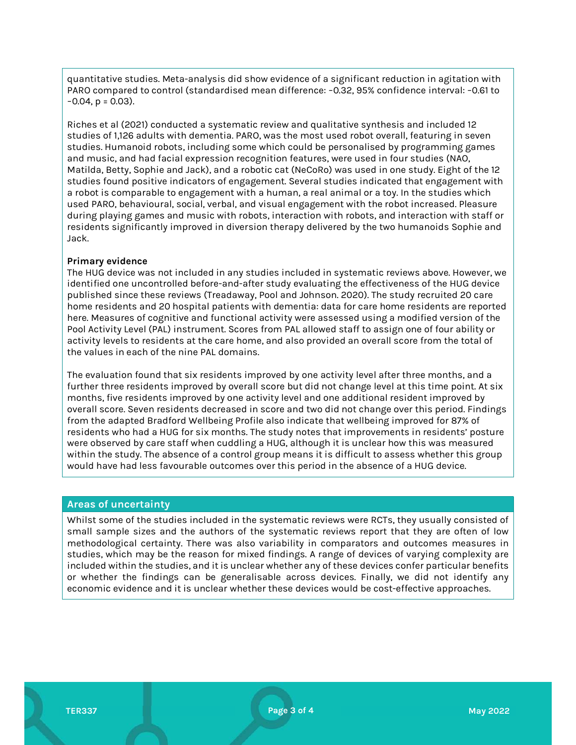quantitative studies. Meta-analysis did show evidence of a significant reduction in agitation with PARO compared to control (standardised mean difference: −0.32, 95% confidence interval: −0.61 to −0.04, p = 0.03).

Riches et al (2021) conducted a systematic review and qualitative synthesis and included 12 studies of 1,126 adults with dementia. PARO, was the most used robot overall, featuring in seven studies. Humanoid robots, including some which could be personalised by programming games and music, and had facial expression recognition features, were used in four studies (NAO, Matilda, Betty, Sophie and Jack), and a robotic cat (NeCoRo) was used in one study. Eight of the 12 studies found positive indicators of engagement. Several studies indicated that engagement with a robot is comparable to engagement with a human, a real animal or a toy. In the studies which used PARO, behavioural, social, verbal, and visual engagement with the robot increased. Pleasure during playing games and music with robots, interaction with robots, and interaction with staff or residents significantly improved in diversion therapy delivered by the two humanoids Sophie and Jack.

### Primary evidence

The HUG device was not included in any studies included in systematic reviews above. However, we identified one uncontrolled before-and-after study evaluating the effectiveness of the HUG device published since these reviews (Treadaway, Pool and Johnson. 2020). The study recruited 20 care home residents and 20 hospital patients with dementia: data for care home residents are reported here. Measures of cognitive and functional activity were assessed using a modified version of the Pool Activity Level (PAL) instrument. Scores from PAL allowed staff to assign one of four ability or activity levels to residents at the care home, and also provided an overall score from the total of the values in each of the nine PAL domains.

The evaluation found that six residents improved by one activity level after three months, and a further three residents improved by overall score but did not change level at this time point. At six months, five residents improved by one activity level and one additional resident improved by overall score. Seven residents decreased in score and two did not change over this period. Findings from the adapted Bradford Wellbeing Profile also indicate that wellbeing improved for 87% of residents who had a HUG for six months. The study notes that improvements in residents' posture were observed by care staff when cuddling a HUG, although it is unclear how this was measured within the study. The absence of a control group means it is difficult to assess whether this group would have had less favourable outcomes over this period in the absence of a HUG device.

#### Areas of uncertainty

Whilst some of the studies included in the systematic reviews were RCTs, they usually consisted of small sample sizes and the authors of the systematic reviews report that they are often of low methodological certainty. There was also variability in comparators and outcomes measures in studies, which may be the reason for mixed findings. A range of devices of varying complexity are included within the studies, and it is unclear whether any of these devices confer particular benefits or whether the findings can be generalisable across devices. Finally, we did not identify any economic evidence and it is unclear whether these devices would be cost-effective approaches.